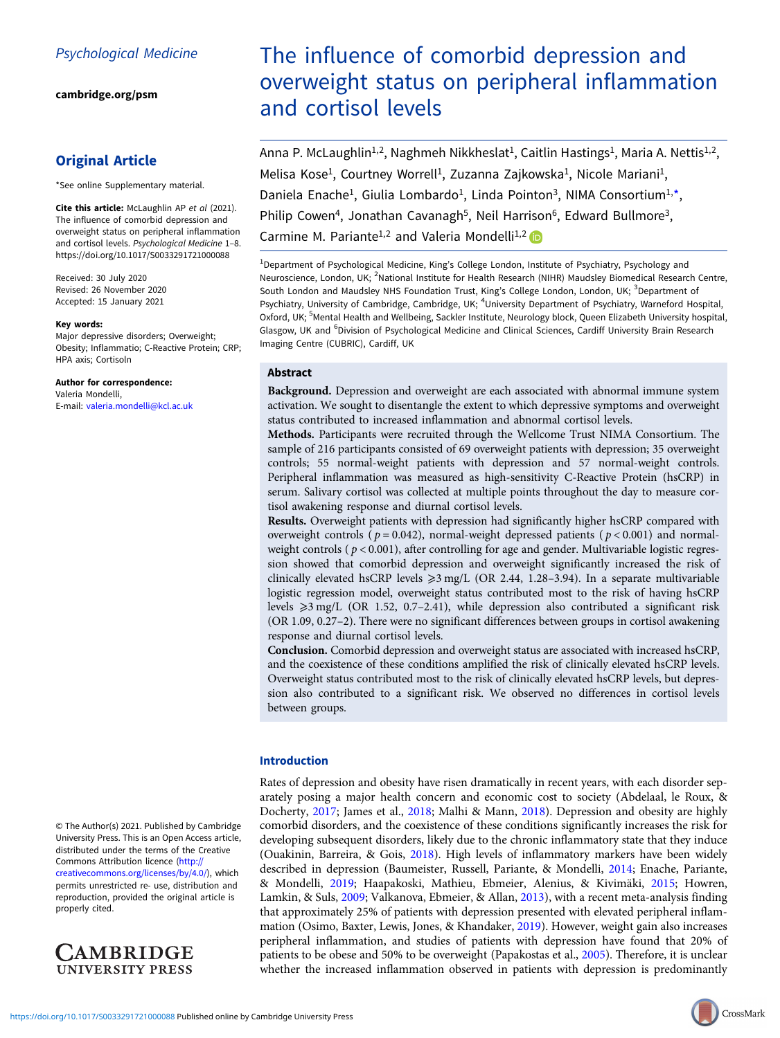[cambridge.org/psm](https://www.cambridge.org/psm)

# Original Article

\*See online Supplementary material.

Cite this article: McLaughlin AP et al (2021). The influence of comorbid depression and overweight status on peripheral inflammation and cortisol levels. Psychological Medicine 1–8. <https://doi.org/10.1017/S0033291721000088>

Received: 30 July 2020 Revised: 26 November 2020 Accepted: 15 January 2021

#### Key words:

Major depressive disorders; Overweight; Obesity; Inflammatio; C-Reactive Protein; CRP; HPA axis; Cortisoln

Author for correspondence:

Valeria Mondelli, E-mail: [valeria.mondelli@kcl.ac.uk](mailto:valeria.mondelli@kcl.ac.uk)

© The Author(s) 2021. Published by Cambridge University Press. This is an Open Access article, distributed under the terms of the Creative Commons Attribution licence ([http://](http://creativecommons.org/licenses/by/4.0/) [creativecommons.org/licenses/by/4.0/](http://creativecommons.org/licenses/by/4.0/)), which permits unrestricted re- use, distribution and reproduction, provided the original article is properly cited.



# The influence of comorbid depression and overweight status on peripheral inflammation and cortisol levels

Anna P. McLaughlin<sup>1,2</sup>, Naghmeh Nikkheslat<sup>1</sup>, Caitlin Hastings<sup>1</sup>, Maria A. Nettis<sup>1,2</sup>, Melisa Kose<sup>1</sup>, Courtney Worrell<sup>1</sup>, Zuzanna Zajkowska<sup>1</sup>, Nicole Mariani<sup>1</sup>, Daniela Enache<sup>1</sup>, Giulia Lombardo<sup>1</sup>, Linda Pointon<sup>3</sup>, NIMA Consortium<sup>1,\*</sup>, Philip Cowen<sup>4</sup>, Jonathan Cavanagh<sup>5</sup>, Neil Harrison<sup>6</sup>, Edward Bullmore<sup>3</sup>, Carmine M. Pariante<sup>1,2</sup> and Valeria Mondelli<sup>1,2</sup>

<sup>1</sup>Department of Psychological Medicine, King's College London, Institute of Psychiatry, Psychology and Neuroscience, London, UK; <sup>2</sup>National Institute for Health Research (NIHR) Maudsley Biomedical Research Centre, South London and Maudsley NHS Foundation Trust, King's College London, London, UK; <sup>3</sup>Department of Psychiatry, University of Cambridge, Cambridge, UK; <sup>4</sup>University Department of Psychiatry, Warneford Hospital, Oxford, UK; <sup>5</sup>Mental Health and Wellbeing, Sackler Institute, Neurology block, Queen Elizabeth University hospital, Glasgow, UK and <sup>6</sup>Division of Psychological Medicine and Clinical Sciences, Cardiff University Brain Research Imaging Centre (CUBRIC), Cardiff, UK

# Abstract

Background. Depression and overweight are each associated with abnormal immune system activation. We sought to disentangle the extent to which depressive symptoms and overweight status contributed to increased inflammation and abnormal cortisol levels.

Methods. Participants were recruited through the Wellcome Trust NIMA Consortium. The sample of 216 participants consisted of 69 overweight patients with depression; 35 overweight controls; 55 normal-weight patients with depression and 57 normal-weight controls. Peripheral inflammation was measured as high-sensitivity C-Reactive Protein (hsCRP) in serum. Salivary cortisol was collected at multiple points throughout the day to measure cortisol awakening response and diurnal cortisol levels.

Results. Overweight patients with depression had significantly higher hsCRP compared with overweight controls ( $p = 0.042$ ), normal-weight depressed patients ( $p < 0.001$ ) and normalweight controls ( $p < 0.001$ ), after controlling for age and gender. Multivariable logistic regression showed that comorbid depression and overweight significantly increased the risk of clinically elevated hsCRP levels  $\geq 3$  mg/L (OR 2.44, 1.28–3.94). In a separate multivariable logistic regression model, overweight status contributed most to the risk of having hsCRP levels  $\geq 3$  mg/L (OR 1.52, 0.7–2.41), while depression also contributed a significant risk (OR 1.09, 0.27–2). There were no significant differences between groups in cortisol awakening response and diurnal cortisol levels.

Conclusion. Comorbid depression and overweight status are associated with increased hsCRP, and the coexistence of these conditions amplified the risk of clinically elevated hsCRP levels. Overweight status contributed most to the risk of clinically elevated hsCRP levels, but depression also contributed to a significant risk. We observed no differences in cortisol levels between groups.

# Introduction

Rates of depression and obesity have risen dramatically in recent years, with each disorder separately posing a major health concern and economic cost to society (Abdelaal, le Roux, & Docherty, [2017](#page-6-0); James et al., [2018;](#page-6-0) Malhi & Mann, [2018\)](#page-6-0). Depression and obesity are highly comorbid disorders, and the coexistence of these conditions significantly increases the risk for developing subsequent disorders, likely due to the chronic inflammatory state that they induce (Ouakinin, Barreira, & Gois, [2018\)](#page-7-0). High levels of inflammatory markers have been widely described in depression (Baumeister, Russell, Pariante, & Mondelli, [2014](#page-6-0); Enache, Pariante, & Mondelli, [2019](#page-6-0); Haapakoski, Mathieu, Ebmeier, Alenius, & Kivimäki, [2015;](#page-6-0) Howren, Lamkin, & Suls, [2009;](#page-6-0) Valkanova, Ebmeier, & Allan, [2013\)](#page-7-0), with a recent meta-analysis finding that approximately 25% of patients with depression presented with elevated peripheral inflammation (Osimo, Baxter, Lewis, Jones, & Khandaker, [2019](#page-7-0)). However, weight gain also increases peripheral inflammation, and studies of patients with depression have found that 20% of patients to be obese and 50% to be overweight (Papakostas et al., [2005\)](#page-7-0). Therefore, it is unclear whether the increased inflammation observed in patients with depression is predominantly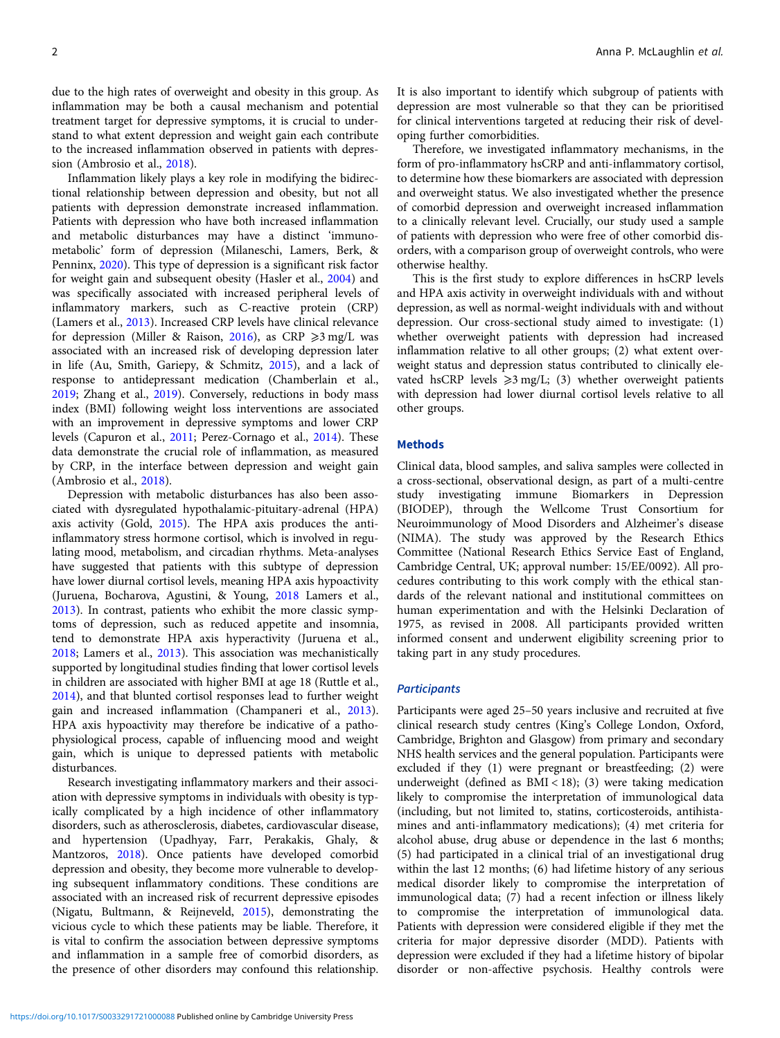due to the high rates of overweight and obesity in this group. As inflammation may be both a causal mechanism and potential treatment target for depressive symptoms, it is crucial to understand to what extent depression and weight gain each contribute to the increased inflammation observed in patients with depression (Ambrosio et al., [2018](#page-6-0)).

Inflammation likely plays a key role in modifying the bidirectional relationship between depression and obesity, but not all patients with depression demonstrate increased inflammation. Patients with depression who have both increased inflammation and metabolic disturbances may have a distinct 'immunometabolic' form of depression (Milaneschi, Lamers, Berk, & Penninx, [2020](#page-6-0)). This type of depression is a significant risk factor for weight gain and subsequent obesity (Hasler et al., [2004](#page-6-0)) and was specifically associated with increased peripheral levels of inflammatory markers, such as C-reactive protein (CRP) (Lamers et al., [2013\)](#page-6-0). Increased CRP levels have clinical relevance for depression (Miller & Raison, [2016](#page-6-0)), as CRP  $\geq 3$  mg/L was associated with an increased risk of developing depression later in life (Au, Smith, Gariepy, & Schmitz, [2015\)](#page-6-0), and a lack of response to antidepressant medication (Chamberlain et al., [2019;](#page-6-0) Zhang et al., [2019\)](#page-7-0). Conversely, reductions in body mass index (BMI) following weight loss interventions are associated with an improvement in depressive symptoms and lower CRP levels (Capuron et al., [2011;](#page-6-0) Perez-Cornago et al., [2014\)](#page-7-0). These data demonstrate the crucial role of inflammation, as measured by CRP, in the interface between depression and weight gain (Ambrosio et al., [2018\)](#page-6-0).

Depression with metabolic disturbances has also been associated with dysregulated hypothalamic-pituitary-adrenal (HPA) axis activity (Gold, [2015\)](#page-6-0). The HPA axis produces the antiinflammatory stress hormone cortisol, which is involved in regulating mood, metabolism, and circadian rhythms. Meta-analyses have suggested that patients with this subtype of depression have lower diurnal cortisol levels, meaning HPA axis hypoactivity (Juruena, Bocharova, Agustini, & Young, [2018](#page-6-0) Lamers et al., [2013\)](#page-6-0). In contrast, patients who exhibit the more classic symptoms of depression, such as reduced appetite and insomnia, tend to demonstrate HPA axis hyperactivity (Juruena et al., [2018;](#page-6-0) Lamers et al., [2013](#page-6-0)). This association was mechanistically supported by longitudinal studies finding that lower cortisol levels in children are associated with higher BMI at age 18 (Ruttle et al., [2014\)](#page-7-0), and that blunted cortisol responses lead to further weight gain and increased inflammation (Champaneri et al., [2013\)](#page-6-0). HPA axis hypoactivity may therefore be indicative of a pathophysiological process, capable of influencing mood and weight gain, which is unique to depressed patients with metabolic disturbances.

Research investigating inflammatory markers and their association with depressive symptoms in individuals with obesity is typically complicated by a high incidence of other inflammatory disorders, such as atherosclerosis, diabetes, cardiovascular disease, and hypertension (Upadhyay, Farr, Perakakis, Ghaly, & Mantzoros, [2018\)](#page-7-0). Once patients have developed comorbid depression and obesity, they become more vulnerable to developing subsequent inflammatory conditions. These conditions are associated with an increased risk of recurrent depressive episodes (Nigatu, Bultmann, & Reijneveld, [2015\)](#page-7-0), demonstrating the vicious cycle to which these patients may be liable. Therefore, it is vital to confirm the association between depressive symptoms and inflammation in a sample free of comorbid disorders, as the presence of other disorders may confound this relationship. It is also important to identify which subgroup of patients with depression are most vulnerable so that they can be prioritised for clinical interventions targeted at reducing their risk of developing further comorbidities.

Therefore, we investigated inflammatory mechanisms, in the form of pro-inflammatory hsCRP and anti-inflammatory cortisol, to determine how these biomarkers are associated with depression and overweight status. We also investigated whether the presence of comorbid depression and overweight increased inflammation to a clinically relevant level. Crucially, our study used a sample of patients with depression who were free of other comorbid disorders, with a comparison group of overweight controls, who were otherwise healthy.

This is the first study to explore differences in hsCRP levels and HPA axis activity in overweight individuals with and without depression, as well as normal-weight individuals with and without depression. Our cross-sectional study aimed to investigate: (1) whether overweight patients with depression had increased inflammation relative to all other groups; (2) what extent overweight status and depression status contributed to clinically elevated hsCRP levels  $\geq 3$  mg/L; (3) whether overweight patients with depression had lower diurnal cortisol levels relative to all other groups.

#### **Methods**

Clinical data, blood samples, and saliva samples were collected in a cross-sectional, observational design, as part of a multi-centre study investigating immune Biomarkers in Depression (BIODEP), through the Wellcome Trust Consortium for Neuroimmunology of Mood Disorders and Alzheimer's disease (NIMA). The study was approved by the Research Ethics Committee (National Research Ethics Service East of England, Cambridge Central, UK; approval number: 15/EE/0092). All procedures contributing to this work comply with the ethical standards of the relevant national and institutional committees on human experimentation and with the Helsinki Declaration of 1975, as revised in 2008. All participants provided written informed consent and underwent eligibility screening prior to taking part in any study procedures.

#### **Participants**

Participants were aged 25–50 years inclusive and recruited at five clinical research study centres (King's College London, Oxford, Cambridge, Brighton and Glasgow) from primary and secondary NHS health services and the general population. Participants were excluded if they (1) were pregnant or breastfeeding; (2) were underweight (defined as  $BMI < 18$ ); (3) were taking medication likely to compromise the interpretation of immunological data (including, but not limited to, statins, corticosteroids, antihistamines and anti-inflammatory medications); (4) met criteria for alcohol abuse, drug abuse or dependence in the last 6 months; (5) had participated in a clinical trial of an investigational drug within the last 12 months; (6) had lifetime history of any serious medical disorder likely to compromise the interpretation of immunological data; (7) had a recent infection or illness likely to compromise the interpretation of immunological data. Patients with depression were considered eligible if they met the criteria for major depressive disorder (MDD). Patients with depression were excluded if they had a lifetime history of bipolar disorder or non-affective psychosis. Healthy controls were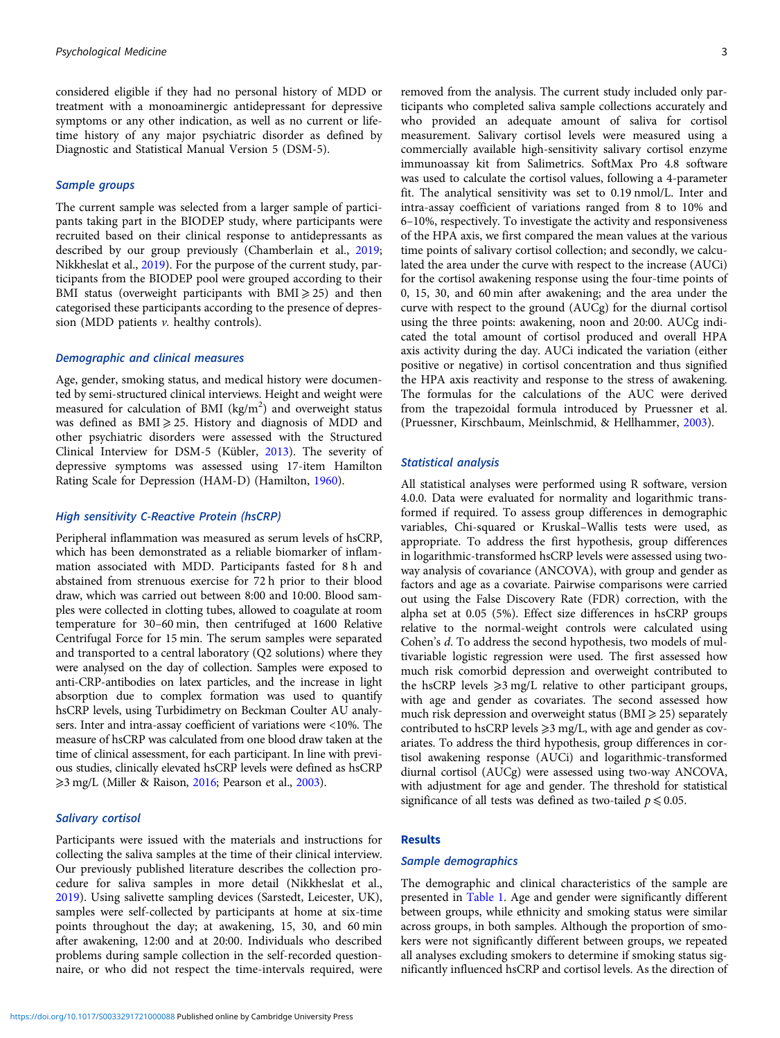considered eligible if they had no personal history of MDD or treatment with a monoaminergic antidepressant for depressive symptoms or any other indication, as well as no current or lifetime history of any major psychiatric disorder as defined by Diagnostic and Statistical Manual Version 5 (DSM-5).

# Sample groups

The current sample was selected from a larger sample of participants taking part in the BIODEP study, where participants were recruited based on their clinical response to antidepressants as described by our group previously (Chamberlain et al., [2019;](#page-6-0) Nikkheslat et al., [2019](#page-7-0)). For the purpose of the current study, participants from the BIODEP pool were grouped according to their BMI status (overweight participants with  $BMI \geq 25$ ) and then categorised these participants according to the presence of depression (MDD patients  $v$ . healthy controls).

### Demographic and clinical measures

Age, gender, smoking status, and medical history were documented by semi-structured clinical interviews. Height and weight were measured for calculation of BMI (kg/m<sup>2</sup>) and overweight status was defined as  $BMI \geq 25$ . History and diagnosis of MDD and other psychiatric disorders were assessed with the Structured Clinical Interview for DSM-5 (Kübler, [2013\)](#page-6-0). The severity of depressive symptoms was assessed using 17-item Hamilton Rating Scale for Depression (HAM-D) (Hamilton, [1960\)](#page-6-0).

#### High sensitivity C-Reactive Protein (hsCRP)

Peripheral inflammation was measured as serum levels of hsCRP, which has been demonstrated as a reliable biomarker of inflammation associated with MDD. Participants fasted for 8 h and abstained from strenuous exercise for 72 h prior to their blood draw, which was carried out between 8:00 and 10:00. Blood samples were collected in clotting tubes, allowed to coagulate at room temperature for 30–60 min, then centrifuged at 1600 Relative Centrifugal Force for 15 min. The serum samples were separated and transported to a central laboratory (Q2 solutions) where they were analysed on the day of collection. Samples were exposed to anti-CRP-antibodies on latex particles, and the increase in light absorption due to complex formation was used to quantify hsCRP levels, using Turbidimetry on Beckman Coulter AU analysers. Inter and intra-assay coefficient of variations were <10%. The measure of hsCRP was calculated from one blood draw taken at the time of clinical assessment, for each participant. In line with previous studies, clinically elevated hsCRP levels were defined as hsCRP  $\geq$ 3 mg/L (Miller & Raison, [2016](#page-6-0); Pearson et al., [2003](#page-7-0)).

# Salivary cortisol

Participants were issued with the materials and instructions for collecting the saliva samples at the time of their clinical interview. Our previously published literature describes the collection procedure for saliva samples in more detail (Nikkheslat et al., [2019\)](#page-7-0). Using salivette sampling devices (Sarstedt, Leicester, UK), samples were self-collected by participants at home at six-time points throughout the day; at awakening, 15, 30, and 60 min after awakening, 12:00 and at 20:00. Individuals who described problems during sample collection in the self-recorded questionnaire, or who did not respect the time-intervals required, were

removed from the analysis. The current study included only participants who completed saliva sample collections accurately and who provided an adequate amount of saliva for cortisol measurement. Salivary cortisol levels were measured using a commercially available high-sensitivity salivary cortisol enzyme immunoassay kit from Salimetrics. SoftMax Pro 4.8 software was used to calculate the cortisol values, following a 4-parameter fit. The analytical sensitivity was set to 0.19 nmol/L. Inter and intra-assay coefficient of variations ranged from 8 to 10% and 6–10%, respectively. To investigate the activity and responsiveness of the HPA axis, we first compared the mean values at the various time points of salivary cortisol collection; and secondly, we calculated the area under the curve with respect to the increase (AUCi) for the cortisol awakening response using the four-time points of 0, 15, 30, and 60 min after awakening; and the area under the curve with respect to the ground (AUCg) for the diurnal cortisol using the three points: awakening, noon and 20:00. AUCg indicated the total amount of cortisol produced and overall HPA axis activity during the day. AUCi indicated the variation (either positive or negative) in cortisol concentration and thus signified the HPA axis reactivity and response to the stress of awakening. The formulas for the calculations of the AUC were derived from the trapezoidal formula introduced by Pruessner et al. (Pruessner, Kirschbaum, Meinlschmid, & Hellhammer, [2003](#page-7-0)).

### Statistical analysis

All statistical analyses were performed using R software, version 4.0.0. Data were evaluated for normality and logarithmic transformed if required. To assess group differences in demographic variables, Chi-squared or Kruskal–Wallis tests were used, as appropriate. To address the first hypothesis, group differences in logarithmic-transformed hsCRP levels were assessed using twoway analysis of covariance (ANCOVA), with group and gender as factors and age as a covariate. Pairwise comparisons were carried out using the False Discovery Rate (FDR) correction, with the alpha set at 0.05 (5%). Effect size differences in hsCRP groups relative to the normal-weight controls were calculated using Cohen's d. To address the second hypothesis, two models of multivariable logistic regression were used. The first assessed how much risk comorbid depression and overweight contributed to the hsCRP levels  $\geq 3$  mg/L relative to other participant groups, with age and gender as covariates. The second assessed how much risk depression and overweight status ( $\text{BMI} \geq 25$ ) separately contributed to hsCRP levels  $\geq$ 3 mg/L, with age and gender as covariates. To address the third hypothesis, group differences in cortisol awakening response (AUCi) and logarithmic-transformed diurnal cortisol (AUCg) were assessed using two-way ANCOVA, with adjustment for age and gender. The threshold for statistical significance of all tests was defined as two-tailed  $p \le 0.05$ .

#### Results

# Sample demographics

The demographic and clinical characteristics of the sample are presented in [Table 1.](#page-3-0) Age and gender were significantly different between groups, while ethnicity and smoking status were similar across groups, in both samples. Although the proportion of smokers were not significantly different between groups, we repeated all analyses excluding smokers to determine if smoking status significantly influenced hsCRP and cortisol levels. As the direction of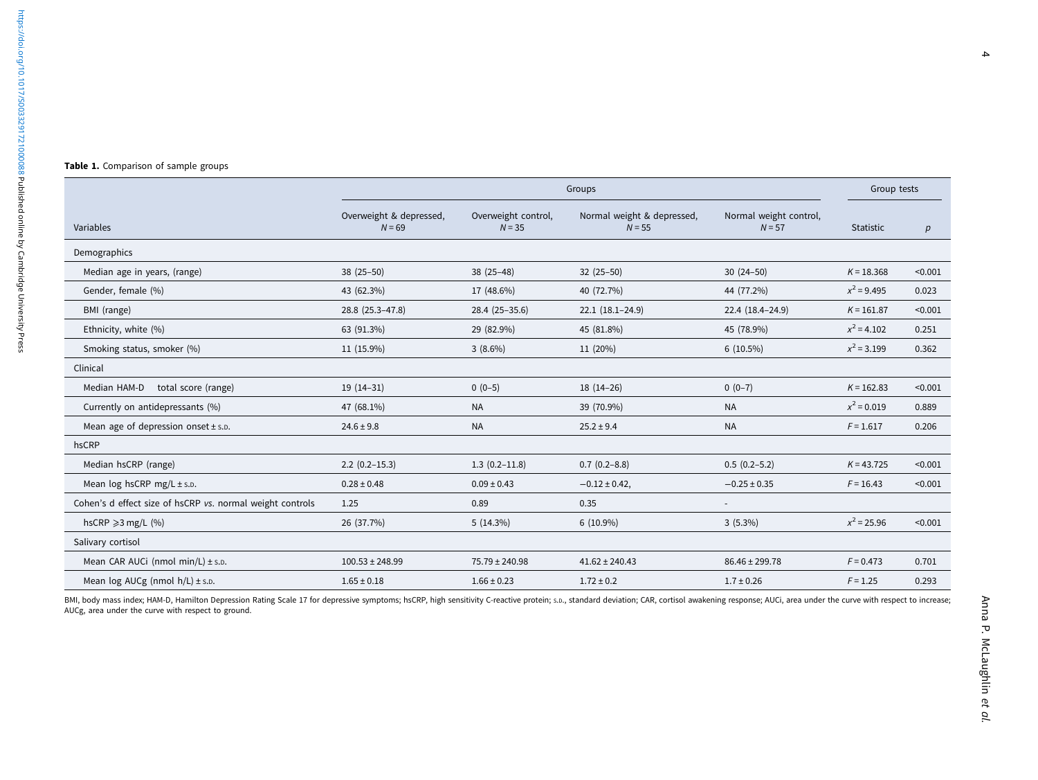<span id="page-3-0"></span>

|  |  |  |  | Table 1. Comparison of sample groups |  |  |
|--|--|--|--|--------------------------------------|--|--|
|--|--|--|--|--------------------------------------|--|--|

|                                                           | Groups                              |                                 |                                        |                                    |               | Group tests |  |
|-----------------------------------------------------------|-------------------------------------|---------------------------------|----------------------------------------|------------------------------------|---------------|-------------|--|
| Variables                                                 | Overweight & depressed,<br>$N = 69$ | Overweight control,<br>$N = 35$ | Normal weight & depressed,<br>$N = 55$ | Normal weight control,<br>$N = 57$ | Statistic     | p           |  |
| Demographics                                              |                                     |                                 |                                        |                                    |               |             |  |
| Median age in years, (range)                              | $38(25-50)$                         | $38(25-48)$                     | $32(25-50)$                            | $30(24-50)$                        | $K = 18.368$  | < 0.001     |  |
| Gender, female (%)                                        | 43 (62.3%)                          | 17 (48.6%)                      | 40 (72.7%)                             | 44 (77.2%)                         | $x^2$ = 9.495 | 0.023       |  |
| BMI (range)                                               | 28.8 (25.3-47.8)                    | 28.4 (25-35.6)                  | $22.1(18.1-24.9)$                      | 22.4 (18.4-24.9)                   | $K = 161.87$  | < 0.001     |  |
| Ethnicity, white (%)                                      | 63 (91.3%)                          | 29 (82.9%)                      | 45 (81.8%)                             | 45 (78.9%)                         | $x^2$ = 4.102 | 0.251       |  |
| Smoking status, smoker (%)                                | 11 (15.9%)                          | $3(8.6\%)$                      | 11 (20%)                               | $6(10.5\%)$                        | $x^2$ = 3.199 | 0.362       |  |
| Clinical                                                  |                                     |                                 |                                        |                                    |               |             |  |
| Median HAM-D<br>total score (range)                       | $19(14-31)$                         | $0(0-5)$                        | $18(14-26)$                            | $0(0-7)$                           | $K = 162.83$  | < 0.001     |  |
| Currently on antidepressants (%)                          | 47 (68.1%)                          | <b>NA</b>                       | 39 (70.9%)                             | <b>NA</b>                          | $x^2$ = 0.019 | 0.889       |  |
| Mean age of depression onset $\pm$ s.p.                   | $24.6 \pm 9.8$                      | <b>NA</b>                       | $25.2 \pm 9.4$                         | <b>NA</b>                          | $F = 1.617$   | 0.206       |  |
| hsCRP                                                     |                                     |                                 |                                        |                                    |               |             |  |
| Median hsCRP (range)                                      | $2.2(0.2-15.3)$                     | $1.3(0.2-11.8)$                 | $0.7(0.2-8.8)$                         | $0.5(0.2-5.2)$                     | $K = 43.725$  | < 0.001     |  |
| Mean $log hscRP$ mg/L $\pm$ s.p.                          | $0.28 \pm 0.48$                     | $0.09 \pm 0.43$                 | $-0.12 \pm 0.42$ ,                     | $-0.25 \pm 0.35$                   | $F = 16.43$   | < 0.001     |  |
| Cohen's d effect size of hsCRP vs. normal weight controls | 1.25                                | 0.89                            | 0.35                                   |                                    |               |             |  |
| hsCRP $\geq$ 3 mg/L (%)                                   | 26 (37.7%)                          | 5(14.3%)                        | $6(10.9\%)$                            | $3(5.3\%)$                         | $x^2$ = 25.96 | < 0.001     |  |
| Salivary cortisol                                         |                                     |                                 |                                        |                                    |               |             |  |
| Mean CAR AUCi (nmol min/L) $\pm$ s.p.                     | $100.53 \pm 248.99$                 | $75.79 \pm 240.98$              | $41.62 \pm 240.43$                     | 86.46 ± 299.78                     | $F = 0.473$   | 0.701       |  |
| Mean $log AUCg$ (nmol $h/L$ ) ± s.p.                      | $1.65 \pm 0.18$                     | $1.66 \pm 0.23$                 | $1.72 \pm 0.2$                         | $1.7 \pm 0.26$                     | $F = 1.25$    | 0.293       |  |

BMI, body mass index; HAM-D, Hamilton Depression Rating Scale 17 for depressive symptoms; hsCRP, high sensitivity C-reactive protein; s.p., standard deviation; CAR, cortisol awakening response; AUCi, area under the curve w AUCg, area under the curve with respect to ground.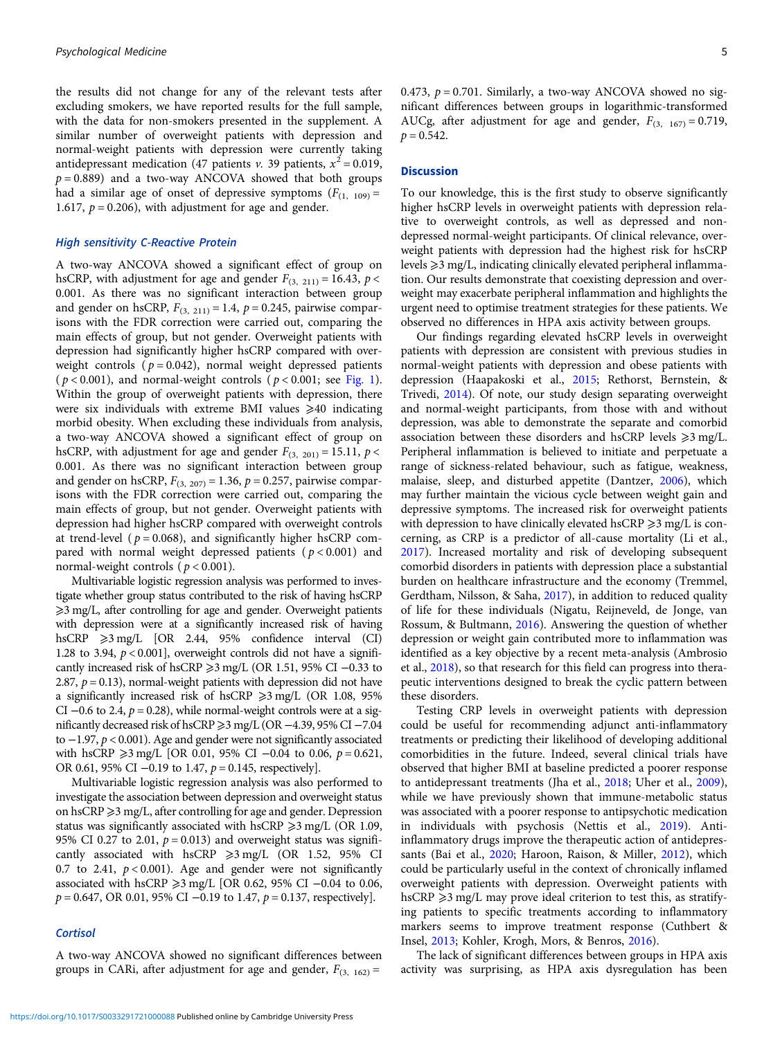the results did not change for any of the relevant tests after excluding smokers, we have reported results for the full sample, with the data for non-smokers presented in the supplement. A similar number of overweight patients with depression and normal-weight patients with depression were currently taking antidepressant medication (47 patients v. 39 patients,  $x^2 = 0.019$ ,  $p = 0.889$ ) and a two-way ANCOVA showed that both groups had a similar age of onset of depressive symptoms  $(F_{(1, 109)}) =$ 1.617,  $p = 0.206$ , with adjustment for age and gender.

# High sensitivity C-Reactive Protein

A two-way ANCOVA showed a significant effect of group on hsCRP, with adjustment for age and gender  $F_{(3, 211)} = 16.43$ ,  $p <$ 0.001. As there was no significant interaction between group and gender on hsCRP,  $F_{(3, 211)} = 1.4$ ,  $p = 0.245$ , pairwise comparisons with the FDR correction were carried out, comparing the main effects of group, but not gender. Overweight patients with depression had significantly higher hsCRP compared with overweight controls ( $p = 0.042$ ), normal weight depressed patients  $(p < 0.001)$ , and normal-weight controls  $(p < 0.001$ ; see [Fig. 1\)](#page-5-0). Within the group of overweight patients with depression, there were six individuals with extreme BMI values  $\geq 40$  indicating morbid obesity. When excluding these individuals from analysis, a two-way ANCOVA showed a significant effect of group on hsCRP, with adjustment for age and gender  $F_{(3, 201)} = 15.11$ ,  $p <$ 0.001. As there was no significant interaction between group and gender on hsCRP,  $F_{(3, 207)} = 1.36$ ,  $p = 0.257$ , pairwise comparisons with the FDR correction were carried out, comparing the main effects of group, but not gender. Overweight patients with depression had higher hsCRP compared with overweight controls at trend-level ( $p = 0.068$ ), and significantly higher hsCRP compared with normal weight depressed patients ( $p < 0.001$ ) and normal-weight controls ( $p < 0.001$ ).

Multivariable logistic regression analysis was performed to investigate whether group status contributed to the risk of having hsCRP ≥3 mg/L, after controlling for age and gender. Overweight patients with depression were at a significantly increased risk of having hsCRP  $\geq$ 3 mg/L [OR 2.44, 95% confidence interval (CI) 1.28 to 3.94,  $p < 0.001$ ], overweight controls did not have a significantly increased risk of hsCRP ≥3 mg/L (OR 1.51, 95% CI –0.33 to 2.87,  $p = 0.13$ ), normal-weight patients with depression did not have a significantly increased risk of hsCRP  $\geq 3$  mg/L (OR 1.08, 95% CI  $-0.6$  to 2.4,  $p = 0.28$ ), while normal-weight controls were at a significantly decreased risk of hsCRP ≥3 mg/L (OR −4.39, 95% CI −7.04 to −1.97, p < 0.001). Age and gender were not significantly associated with hsCRP  $\geq 3$  mg/L [OR 0.01, 95% CI −0.04 to 0.06, p = 0.621, OR 0.61, 95% CI  $-0.19$  to 1.47,  $p = 0.145$ , respectively].

Multivariable logistic regression analysis was also performed to investigate the association between depression and overweight status on hsCRP  $\geq$ 3 mg/L, after controlling for age and gender. Depression status was significantly associated with hsCRP  $\geq 3$  mg/L (OR 1.09, 95% CI 0.27 to 2.01,  $p = 0.013$ ) and overweight status was significantly associated with hsCRP  $\geq 3$  mg/L (OR 1.52, 95% CI 0.7 to 2.41,  $p < 0.001$ ). Age and gender were not significantly associated with hsCRP  $\geq$ 3 mg/L [OR 0.62, 95% CI −0.04 to 0.06,  $p = 0.647$ , OR 0.01, 95% CI –0.19 to 1.47,  $p = 0.137$ , respectively].

#### **Cortisol**

A two-way ANCOVA showed no significant differences between groups in CARi, after adjustment for age and gender,  $F_{(3, 162)} =$ 

0.473,  $p = 0.701$ . Similarly, a two-way ANCOVA showed no significant differences between groups in logarithmic-transformed AUCg, after adjustment for age and gender,  $F_{(3, 167)} = 0.719$ ,  $p = 0.542$ .

#### **Discussion**

To our knowledge, this is the first study to observe significantly higher hsCRP levels in overweight patients with depression relative to overweight controls, as well as depressed and nondepressed normal-weight participants. Of clinical relevance, overweight patients with depression had the highest risk for hsCRP levels  $\geq$ 3 mg/L, indicating clinically elevated peripheral inflammation. Our results demonstrate that coexisting depression and overweight may exacerbate peripheral inflammation and highlights the urgent need to optimise treatment strategies for these patients. We observed no differences in HPA axis activity between groups.

Our findings regarding elevated hsCRP levels in overweight patients with depression are consistent with previous studies in normal-weight patients with depression and obese patients with depression (Haapakoski et al., [2015;](#page-6-0) Rethorst, Bernstein, & Trivedi, [2014](#page-7-0)). Of note, our study design separating overweight and normal-weight participants, from those with and without depression, was able to demonstrate the separate and comorbid association between these disorders and hsCRP levels  $\geq 3$  mg/L. Peripheral inflammation is believed to initiate and perpetuate a range of sickness-related behaviour, such as fatigue, weakness, malaise, sleep, and disturbed appetite (Dantzer, [2006](#page-6-0)), which may further maintain the vicious cycle between weight gain and depressive symptoms. The increased risk for overweight patients with depression to have clinically elevated hsCRP  $\geq$ 3 mg/L is concerning, as CRP is a predictor of all-cause mortality (Li et al., [2017](#page-6-0)). Increased mortality and risk of developing subsequent comorbid disorders in patients with depression place a substantial burden on healthcare infrastructure and the economy (Tremmel, Gerdtham, Nilsson, & Saha, [2017\)](#page-7-0), in addition to reduced quality of life for these individuals (Nigatu, Reijneveld, de Jonge, van Rossum, & Bultmann, [2016](#page-7-0)). Answering the question of whether depression or weight gain contributed more to inflammation was identified as a key objective by a recent meta-analysis (Ambrosio et al., [2018\)](#page-6-0), so that research for this field can progress into therapeutic interventions designed to break the cyclic pattern between these disorders.

Testing CRP levels in overweight patients with depression could be useful for recommending adjunct anti-inflammatory treatments or predicting their likelihood of developing additional comorbidities in the future. Indeed, several clinical trials have observed that higher BMI at baseline predicted a poorer response to antidepressant treatments (Jha et al., [2018;](#page-6-0) Uher et al., [2009](#page-7-0)), while we have previously shown that immune-metabolic status was associated with a poorer response to antipsychotic medication in individuals with psychosis (Nettis et al., [2019](#page-6-0)). Antiinflammatory drugs improve the therapeutic action of antidepressants (Bai et al., [2020](#page-6-0); Haroon, Raison, & Miller, [2012](#page-6-0)), which could be particularly useful in the context of chronically inflamed overweight patients with depression. Overweight patients with hsCRP  $\geq$ 3 mg/L may prove ideal criterion to test this, as stratifying patients to specific treatments according to inflammatory markers seems to improve treatment response (Cuthbert & Insel, [2013;](#page-6-0) Kohler, Krogh, Mors, & Benros, [2016](#page-6-0)).

The lack of significant differences between groups in HPA axis activity was surprising, as HPA axis dysregulation has been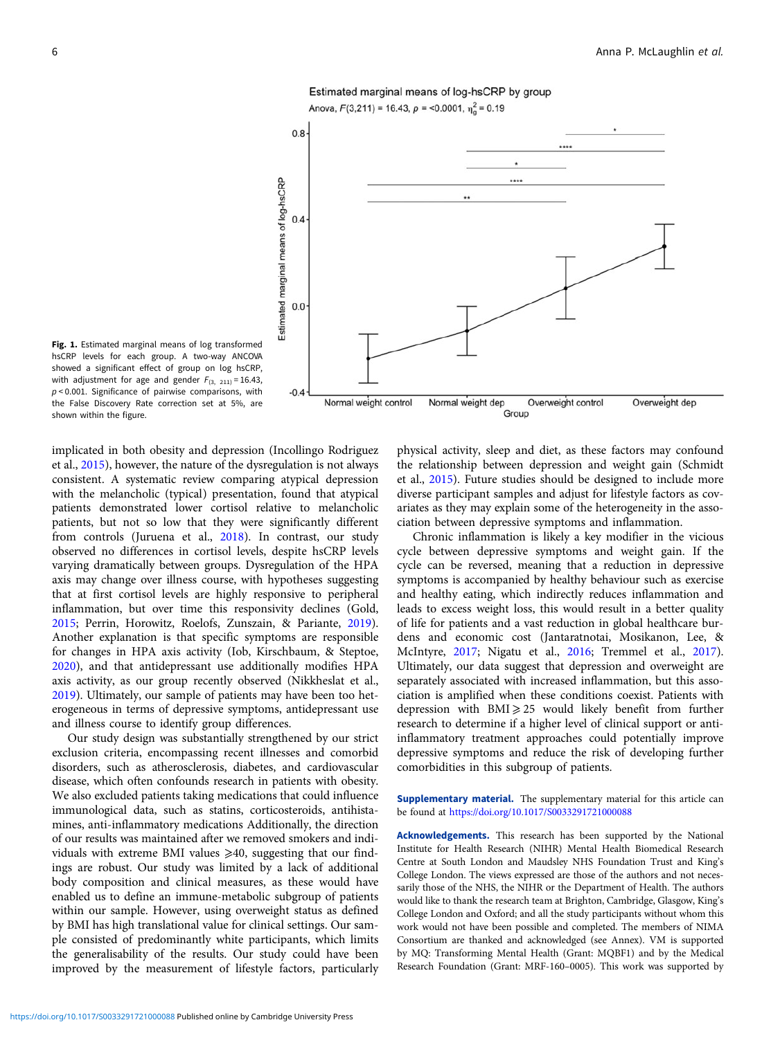# Estimated marginal means of log-hsCRP by group Anova,  $F(3,211) = 16.43$ ,  $p = 0.0001$ ,  $\eta_0^2 = 0.19$

<span id="page-5-0"></span>

Fig. 1. Estimated marginal means of log transformed hsCRP levels for each group. A two-way ANCOVA showed a significant effect of group on log hsCRP, with adjustment for age and gender  $F_{(3, 211)} = 16.43$ ,  $p < 0.001$ . Significance of pairwise comparisons, with the False Discovery Rate correction set at 5%, are shown within the figure.

implicated in both obesity and depression (Incollingo Rodriguez et al., [2015](#page-6-0)), however, the nature of the dysregulation is not always consistent. A systematic review comparing atypical depression with the melancholic (typical) presentation, found that atypical patients demonstrated lower cortisol relative to melancholic patients, but not so low that they were significantly different from controls (Juruena et al., [2018](#page-6-0)). In contrast, our study observed no differences in cortisol levels, despite hsCRP levels varying dramatically between groups. Dysregulation of the HPA axis may change over illness course, with hypotheses suggesting that at first cortisol levels are highly responsive to peripheral inflammation, but over time this responsivity declines (Gold, [2015;](#page-6-0) Perrin, Horowitz, Roelofs, Zunszain, & Pariante, [2019\)](#page-7-0). Another explanation is that specific symptoms are responsible for changes in HPA axis activity (Iob, Kirschbaum, & Steptoe, [2020\)](#page-6-0), and that antidepressant use additionally modifies HPA axis activity, as our group recently observed (Nikkheslat et al., [2019\)](#page-7-0). Ultimately, our sample of patients may have been too heterogeneous in terms of depressive symptoms, antidepressant use and illness course to identify group differences.

Our study design was substantially strengthened by our strict exclusion criteria, encompassing recent illnesses and comorbid disorders, such as atherosclerosis, diabetes, and cardiovascular disease, which often confounds research in patients with obesity. We also excluded patients taking medications that could influence immunological data, such as statins, corticosteroids, antihistamines, anti-inflammatory medications Additionally, the direction of our results was maintained after we removed smokers and individuals with extreme BMI values  $\geq 40$ , suggesting that our findings are robust. Our study was limited by a lack of additional body composition and clinical measures, as these would have enabled us to define an immune-metabolic subgroup of patients within our sample. However, using overweight status as defined by BMI has high translational value for clinical settings. Our sample consisted of predominantly white participants, which limits the generalisability of the results. Our study could have been improved by the measurement of lifestyle factors, particularly

physical activity, sleep and diet, as these factors may confound the relationship between depression and weight gain (Schmidt et al., [2015](#page-7-0)). Future studies should be designed to include more diverse participant samples and adjust for lifestyle factors as covariates as they may explain some of the heterogeneity in the association between depressive symptoms and inflammation.

Chronic inflammation is likely a key modifier in the vicious cycle between depressive symptoms and weight gain. If the cycle can be reversed, meaning that a reduction in depressive symptoms is accompanied by healthy behaviour such as exercise and healthy eating, which indirectly reduces inflammation and leads to excess weight loss, this would result in a better quality of life for patients and a vast reduction in global healthcare burdens and economic cost (Jantaratnotai, Mosikanon, Lee, & McIntyre, [2017;](#page-6-0) Nigatu et al., [2016;](#page-7-0) Tremmel et al., [2017](#page-7-0)). Ultimately, our data suggest that depression and overweight are separately associated with increased inflammation, but this association is amplified when these conditions coexist. Patients with depression with  $BMI \geq 25$  would likely benefit from further research to determine if a higher level of clinical support or antiinflammatory treatment approaches could potentially improve depressive symptoms and reduce the risk of developing further comorbidities in this subgroup of patients.

Supplementary material. The supplementary material for this article can be found at <https://doi.org/10.1017/S0033291721000088>

Acknowledgements. This research has been supported by the National Institute for Health Research (NIHR) Mental Health Biomedical Research Centre at South London and Maudsley NHS Foundation Trust and King's College London. The views expressed are those of the authors and not necessarily those of the NHS, the NIHR or the Department of Health. The authors would like to thank the research team at Brighton, Cambridge, Glasgow, King's College London and Oxford; and all the study participants without whom this work would not have been possible and completed. The members of NIMA Consortium are thanked and acknowledged (see Annex). VM is supported by MQ: Transforming Mental Health (Grant: MQBF1) and by the Medical Research Foundation (Grant: MRF-160–0005). This work was supported by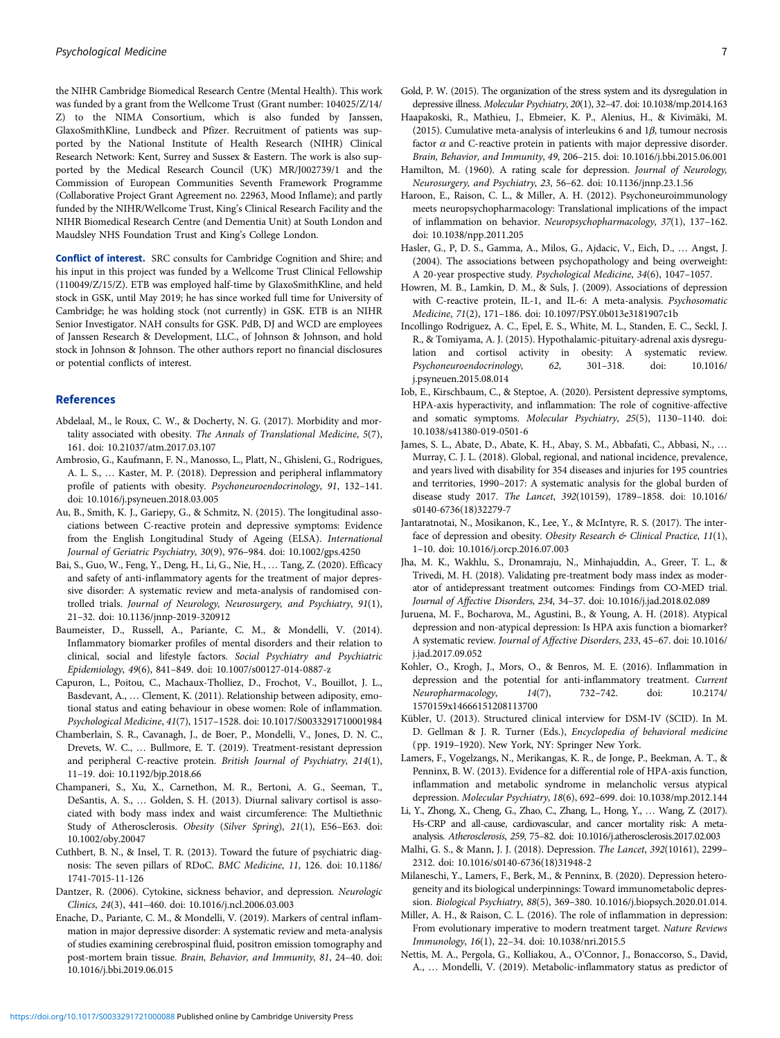<span id="page-6-0"></span>the NIHR Cambridge Biomedical Research Centre (Mental Health). This work was funded by a grant from the Wellcome Trust (Grant number: 104025/Z/14/ Z) to the NIMA Consortium, which is also funded by Janssen, GlaxoSmithKline, Lundbeck and Pfizer. Recruitment of patients was supported by the National Institute of Health Research (NIHR) Clinical Research Network: Kent, Surrey and Sussex & Eastern. The work is also supported by the Medical Research Council (UK) MR/J002739/1 and the Commission of European Communities Seventh Framework Programme (Collaborative Project Grant Agreement no. 22963, Mood Inflame); and partly funded by the NIHR/Wellcome Trust, King's Clinical Research Facility and the NIHR Biomedical Research Centre (and Dementia Unit) at South London and Maudsley NHS Foundation Trust and King's College London.

Conflict of interest. SRC consults for Cambridge Cognition and Shire; and his input in this project was funded by a Wellcome Trust Clinical Fellowship (110049/Z/15/Z). ETB was employed half-time by GlaxoSmithKline, and held stock in GSK, until May 2019; he has since worked full time for University of Cambridge; he was holding stock (not currently) in GSK. ETB is an NIHR Senior Investigator. NAH consults for GSK. PdB, DJ and WCD are employees of Janssen Research & Development, LLC., of Johnson & Johnson, and hold stock in Johnson & Johnson. The other authors report no financial disclosures or potential conflicts of interest.

#### References

- Abdelaal, M., le Roux, C. W., & Docherty, N. G. (2017). Morbidity and mortality associated with obesity. The Annals of Translational Medicine, 5(7), 161. doi: 10.21037/atm.2017.03.107
- Ambrosio, G., Kaufmann, F. N., Manosso, L., Platt, N., Ghisleni, G., Rodrigues, A. L. S., … Kaster, M. P. (2018). Depression and peripheral inflammatory profile of patients with obesity. Psychoneuroendocrinology, 91, 132–141. doi: 10.1016/j.psyneuen.2018.03.005
- Au, B., Smith, K. J., Gariepy, G., & Schmitz, N. (2015). The longitudinal associations between C-reactive protein and depressive symptoms: Evidence from the English Longitudinal Study of Ageing (ELSA). International Journal of Geriatric Psychiatry, 30(9), 976–984. doi: 10.1002/gps.4250
- Bai, S., Guo, W., Feng, Y., Deng, H., Li, G., Nie, H., … Tang, Z. (2020). Efficacy and safety of anti-inflammatory agents for the treatment of major depressive disorder: A systematic review and meta-analysis of randomised controlled trials. Journal of Neurology, Neurosurgery, and Psychiatry, 91(1), 21–32. doi: 10.1136/jnnp-2019-320912
- Baumeister, D., Russell, A., Pariante, C. M., & Mondelli, V. (2014). Inflammatory biomarker profiles of mental disorders and their relation to clinical, social and lifestyle factors. Social Psychiatry and Psychiatric Epidemiology, 49(6), 841–849. doi: 10.1007/s00127-014-0887-z
- Capuron, L., Poitou, C., Machaux-Tholliez, D., Frochot, V., Bouillot, J. L., Basdevant, A., … Clement, K. (2011). Relationship between adiposity, emotional status and eating behaviour in obese women: Role of inflammation. Psychological Medicine, 41(7), 1517–1528. doi: 10.1017/S0033291710001984
- Chamberlain, S. R., Cavanagh, J., de Boer, P., Mondelli, V., Jones, D. N. C., Drevets, W. C., … Bullmore, E. T. (2019). Treatment-resistant depression and peripheral C-reactive protein. British Journal of Psychiatry, 214(1), 11–19. doi: 10.1192/bjp.2018.66
- Champaneri, S., Xu, X., Carnethon, M. R., Bertoni, A. G., Seeman, T., DeSantis, A. S., … Golden, S. H. (2013). Diurnal salivary cortisol is associated with body mass index and waist circumference: The Multiethnic Study of Atherosclerosis. Obesity (Silver Spring), 21(1), E56–E63. doi: 10.1002/oby.20047
- Cuthbert, B. N., & Insel, T. R. (2013). Toward the future of psychiatric diagnosis: The seven pillars of RDoC. BMC Medicine, 11, 126. doi: 10.1186/ 1741-7015-11-126
- Dantzer, R. (2006). Cytokine, sickness behavior, and depression. Neurologic Clinics, 24(3), 441–460. doi: 10.1016/j.ncl.2006.03.003
- Enache, D., Pariante, C. M., & Mondelli, V. (2019). Markers of central inflammation in major depressive disorder: A systematic review and meta-analysis of studies examining cerebrospinal fluid, positron emission tomography and post-mortem brain tissue. Brain, Behavior, and Immunity, 81, 24–40. doi: 10.1016/j.bbi.2019.06.015
- Haapakoski, R., Mathieu, J., Ebmeier, K. P., Alenius, H., & Kivimäki, M. (2015). Cumulative meta-analysis of interleukins 6 and  $1\beta$ , tumour necrosis factor  $\alpha$  and C-reactive protein in patients with major depressive disorder. Brain, Behavior, and Immunity, 49, 206–215. doi: 10.1016/j.bbi.2015.06.001
- Hamilton, M. (1960). A rating scale for depression. Journal of Neurology, Neurosurgery, and Psychiatry, 23, 56–62. doi: 10.1136/jnnp.23.1.56
- Haroon, E., Raison, C. L., & Miller, A. H. (2012). Psychoneuroimmunology meets neuropsychopharmacology: Translational implications of the impact of inflammation on behavior. Neuropsychopharmacology, 37(1), 137–162. doi: 10.1038/npp.2011.205
- Hasler, G., P, D. S., Gamma, A., Milos, G., Ajdacic, V., Eich, D., … Angst, J. (2004). The associations between psychopathology and being overweight: A 20-year prospective study. Psychological Medicine, 34(6), 1047–1057.
- Howren, M. B., Lamkin, D. M., & Suls, J. (2009). Associations of depression with C-reactive protein, IL-1, and IL-6: A meta-analysis. Psychosomatic Medicine, 71(2), 171–186. doi: 10.1097/PSY.0b013e3181907c1b
- Incollingo Rodriguez, A. C., Epel, E. S., White, M. L., Standen, E. C., Seckl, J. R., & Tomiyama, A. J. (2015). Hypothalamic-pituitary-adrenal axis dysregulation and cortisol activity in obesity: A systematic review. Psychoneuroendocrinology, 62, 301–318. doi: 10.1016/ j.psyneuen.2015.08.014
- Iob, E., Kirschbaum, C., & Steptoe, A. (2020). Persistent depressive symptoms, HPA-axis hyperactivity, and inflammation: The role of cognitive-affective and somatic symptoms. Molecular Psychiatry, 25(5), 1130–1140. doi: 10.1038/s41380-019-0501-6
- James, S. L., Abate, D., Abate, K. H., Abay, S. M., Abbafati, C., Abbasi, N., … Murray, C. J. L. (2018). Global, regional, and national incidence, prevalence, and years lived with disability for 354 diseases and injuries for 195 countries and territories, 1990–2017: A systematic analysis for the global burden of disease study 2017. The Lancet, 392(10159), 1789–1858. doi: 10.1016/ s0140-6736(18)32279-7
- Jantaratnotai, N., Mosikanon, K., Lee, Y., & McIntyre, R. S. (2017). The interface of depression and obesity. Obesity Research & Clinical Practice, 11(1), 1–10. doi: 10.1016/j.orcp.2016.07.003
- Jha, M. K., Wakhlu, S., Dronamraju, N., Minhajuddin, A., Greer, T. L., & Trivedi, M. H. (2018). Validating pre-treatment body mass index as moderator of antidepressant treatment outcomes: Findings from CO-MED trial. Journal of Affective Disorders, 234, 34–37. doi: 10.1016/j.jad.2018.02.089
- Juruena, M. F., Bocharova, M., Agustini, B., & Young, A. H. (2018). Atypical depression and non-atypical depression: Is HPA axis function a biomarker? A systematic review. Journal of Affective Disorders, 233, 45–67. doi: 10.1016/ j.jad.2017.09.052
- Kohler, O., Krogh, J., Mors, O., & Benros, M. E. (2016). Inflammation in depression and the potential for anti-inflammatory treatment. Current Neuropharmacology, 14(7), 732–742. doi: 10.2174/ 1570159x14666151208113700
- Kübler, U. (2013). Structured clinical interview for DSM-IV (SCID). In M. D. Gellman & J. R. Turner (Eds.), Encyclopedia of behavioral medicine (pp. 1919–1920). New York, NY: Springer New York.
- Lamers, F., Vogelzangs, N., Merikangas, K. R., de Jonge, P., Beekman, A. T., & Penninx, B. W. (2013). Evidence for a differential role of HPA-axis function, inflammation and metabolic syndrome in melancholic versus atypical depression. Molecular Psychiatry, 18(6), 692–699. doi: 10.1038/mp.2012.144
- Li, Y., Zhong, X., Cheng, G., Zhao, C., Zhang, L., Hong, Y., … Wang, Z. (2017). Hs-CRP and all-cause, cardiovascular, and cancer mortality risk: A metaanalysis. Atherosclerosis, 259, 75–82. doi: 10.1016/j.atherosclerosis.2017.02.003
- Malhi, G. S., & Mann, J. J. (2018). Depression. The Lancet, 392(10161), 2299– 2312. doi: 10.1016/s0140-6736(18)31948-2
- Milaneschi, Y., Lamers, F., Berk, M., & Penninx, B. (2020). Depression heterogeneity and its biological underpinnings: Toward immunometabolic depression. Biological Psychiatry, 88(5), 369–380. 10.1016/j.biopsych.2020.01.014.
- Miller, A. H., & Raison, C. L. (2016). The role of inflammation in depression: From evolutionary imperative to modern treatment target. Nature Reviews Immunology, 16(1), 22–34. doi: 10.1038/nri.2015.5
- Nettis, M. A., Pergola, G., Kolliakou, A., O'Connor, J., Bonaccorso, S., David, A., … Mondelli, V. (2019). Metabolic-inflammatory status as predictor of